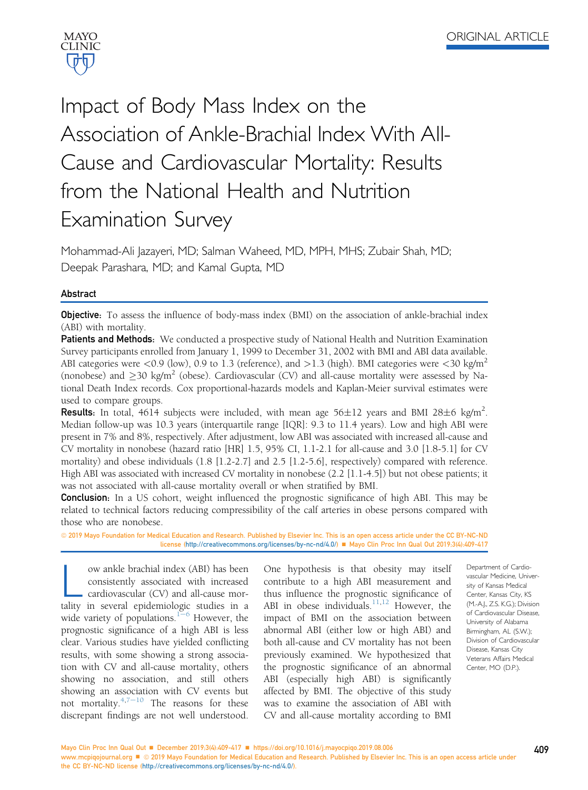

# Impact of Body Mass Index on the Association of Ankle-Brachial Index With All-Cause and Cardiovascular Mortality: Results from the National Health and Nutrition Examination Survey

Mohammad-Ali Jazayeri, MD; Salman Waheed, MD, MPH, MHS; Zubair Shah, MD; Deepak Parashara, MD; and Kamal Gupta, MD

# Abstract

**Objective:** To assess the influence of body-mass index (BMI) on the association of ankle-brachial index (ABI) with mortality.

**Patients and Methods:** We conducted a prospective study of National Health and Nutrition Examination Survey participants enrolled from January 1, 1999 to December 31, 2002 with BMI and ABI data available. ABI categories were  $\langle 0.9 \text{ (low)}, 0.9 \text{ to } 1.3 \text{ (reference)}, \text{ and } \rangle 1.3 \text{ (high)}.$  BMI categories were  $\langle 30 \text{ kg/m}^2 \rangle$ (nonobese) and  $\geq$ 30 kg/m<sup>2</sup> (obese). Cardiovascular (CV) and all-cause mortality were assessed by National Death Index records. Cox proportional-hazards models and Kaplan-Meier survival estimates were used to compare groups.

**Results:** In total, 4614 subjects were included, with mean age 56 $\pm$ 12 years and BMI 28 $\pm$ 6 kg/m<sup>2</sup>. Median follow-up was 10.3 years (interquartile range [IQR]: 9.3 to 11.4 years). Low and high ABI were present in 7% and 8%, respectively. After adjustment, low ABI was associated with increased all-cause and CV mortality in nonobese (hazard ratio [HR] 1.5, 95% CI, 1.1-2.1 for all-cause and 3.0 [1.8-5.1] for CV mortality) and obese individuals (1.8 [1.2-2.7] and 2.5 [1.2-5.6], respectively) compared with reference. High ABI was associated with increased CV mortality in nonobese (2.2 [1.1-4.5]) but not obese patients; it was not associated with all-cause mortality overall or when stratified by BMI.

**Conclusion:** In a US cohort, weight influenced the prognostic significance of high ABI. This may be related to technical factors reducing compressibility of the calf arteries in obese persons compared with those who are nonobese.

ª 2019 Mayo Foundation for Medical Education and Research. Published by Elsevier Inc. This is an open access article under the CC BY-NC-ND license ([http://creativecommons.org/licenses/by-nc-nd/4.0/\)](http://creativecommons.org/licenses/by-nc-nd/4.0/) Mayo Clin Proc Inn Qual Out 2019;3(4):409-417

ow ankle brachial index (ABI) has been<br>consistently associated with increased<br>cardiovascular (CV) and all-cause mor-<br>tality in several epidemiologic studies in a consistently associated with increased cardiovascular (CV) and all-cause mortality in several epidemiologic studies in a wide variety of populations. $1-6$  $1-6$  $1-6$  However, the prognostic significance of a high ABI is less clear. Various studies have yielded conflicting results, with some showing a strong association with CV and all-cause mortality, others showing no association, and still others showing an association with CV events but not mortality.<sup>[4,7](#page-7-0)-[10](#page-7-0)</sup> The reasons for these discrepant findings are not well understood.

One hypothesis is that obesity may itself contribute to a high ABI measurement and thus influence the prognostic significance of ABI in obese individuals. $11,12$  $11,12$  $11,12$  However, the impact of BMI on the association between abnormal ABI (either low or high ABI) and both all-cause and CV mortality has not been previously examined. We hypothesized that the prognostic significance of an abnormal ABI (especially high ABI) is significantly affected by BMI. The objective of this study was to examine the association of ABI with CV and all-cause mortality according to BMI

Department of Cardiovascular Medicine, University of Kansas Medical Center, Kansas City, KS (M.-A.J., Z.S. K.G.); Division of Cardiovascular Disease, University of Alabama Birmingham, AL (S.W.); Division of Cardiovascular Disease, Kansas City Veterans Affairs Medical Center, MO (D.P.).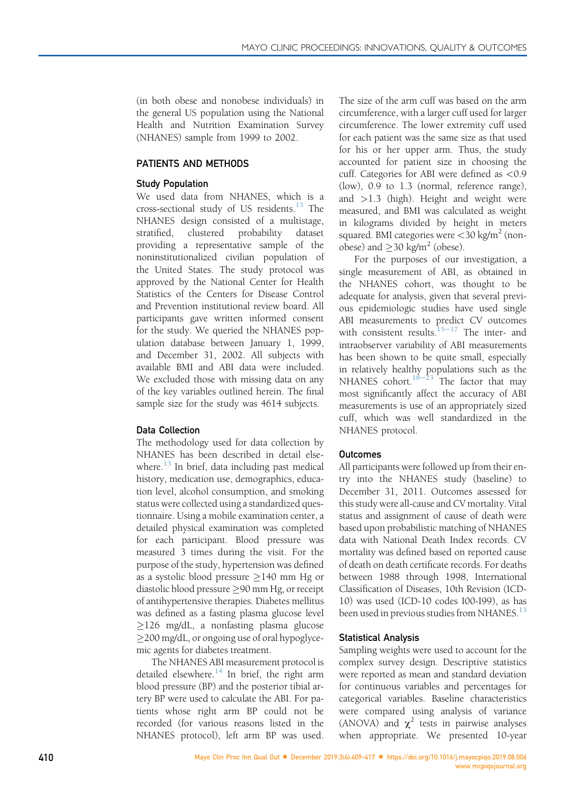(in both obese and nonobese individuals) in the general US population using the National Health and Nutrition Examination Survey (NHANES) sample from 1999 to 2002.

## PATIENTS AND METHODS

## Study Population

We used data from NHANES, which is a cross-sectional study of US residents.<sup>[13](#page-7-0)</sup> The NHANES design consisted of a multistage, stratified, clustered probability dataset providing a representative sample of the noninstitutionalized civilian population of the United States. The study protocol was approved by the National Center for Health Statistics of the Centers for Disease Control and Prevention institutional review board. All participants gave written informed consent for the study. We queried the NHANES population database between January 1, 1999, and December 31, 2002. All subjects with available BMI and ABI data were included. We excluded those with missing data on any of the key variables outlined herein. The final sample size for the study was 4614 subjects.

# Data Collection

The methodology used for data collection by NHANES has been described in detail elsewhere. $^{13}$  $^{13}$  $^{13}$  In brief, data including past medical history, medication use, demographics, education level, alcohol consumption, and smoking status were collected using a standardized questionnaire. Using a mobile examination center, a detailed physical examination was completed for each participant. Blood pressure was measured 3 times during the visit. For the purpose of the study, hypertension was defined as a systolic blood pressure  $\geq$ 140 mm Hg or diastolic blood pressure  $\geq$ 90 mm Hg, or receipt of antihypertensive therapies. Diabetes mellitus was defined as a fasting plasma glucose level  $\geq$ 126 mg/dL, a nonfasting plasma glucose  $\geq$ 200 mg/dL, or ongoing use of oral hypoglycemic agents for diabetes treatment.

The NHANES ABI measurement protocol is detailed elsewhere. $14$  In brief, the right arm blood pressure (BP) and the posterior tibial artery BP were used to calculate the ABI. For patients whose right arm BP could not be recorded (for various reasons listed in the NHANES protocol), left arm BP was used.

The size of the arm cuff was based on the arm circumference, with a larger cuff used for larger circumference. The lower extremity cuff used for each patient was the same size as that used for his or her upper arm. Thus, the study accounted for patient size in choosing the cuff. Categories for ABI were defined as <0.9 (low), 0.9 to 1.3 (normal, reference range), and >1.3 (high). Height and weight were measured, and BMI was calculated as weight in kilograms divided by height in meters squared. BMI categories were  $\langle 30 \text{ kg/m}^2 \rangle$  (nonobese) and  $\geq$  30 kg/m<sup>2</sup> (obese).

For the purposes of our investigation, a single measurement of ABI, as obtained in the NHANES cohort, was thought to be adequate for analysis, given that several previous epidemiologic studies have used single ABI measurements to predict CV outcomes with consistent results.<sup>15–[17](#page-7-0)</sup> The inter- and intraobserver variability of ABI measurements has been shown to be quite small, especially in relatively healthy populations such as the NHANES cohort. $^{18-23}$  $^{18-23}$  $^{18-23}$  $^{18-23}$  $^{18-23}$  The factor that may most significantly affect the accuracy of ABI measurements is use of an appropriately sized cuff, which was well standardized in the NHANES protocol.

# Outcomes

All participants were followed up from their entry into the NHANES study (baseline) to December 31, 2011. Outcomes assessed for this study were all-cause and CV mortality. Vital status and assignment of cause of death were based upon probabilistic matching of NHANES data with National Death Index records. CV mortality was defined based on reported cause of death on death certificate records. For deaths between 1988 through 1998, International Classification of Diseases, 10th Revision (ICD-10) was used (ICD-10 codes I00-I99), as has been used in previous studies from NHANES.<sup>[13](#page-7-0)</sup>

## Statistical Analysis

Sampling weights were used to account for the complex survey design. Descriptive statistics were reported as mean and standard deviation for continuous variables and percentages for categorical variables. Baseline characteristics were compared using analysis of variance (ANOVA) and  $\chi^2$  tests in pairwise analyses when appropriate. We presented 10-year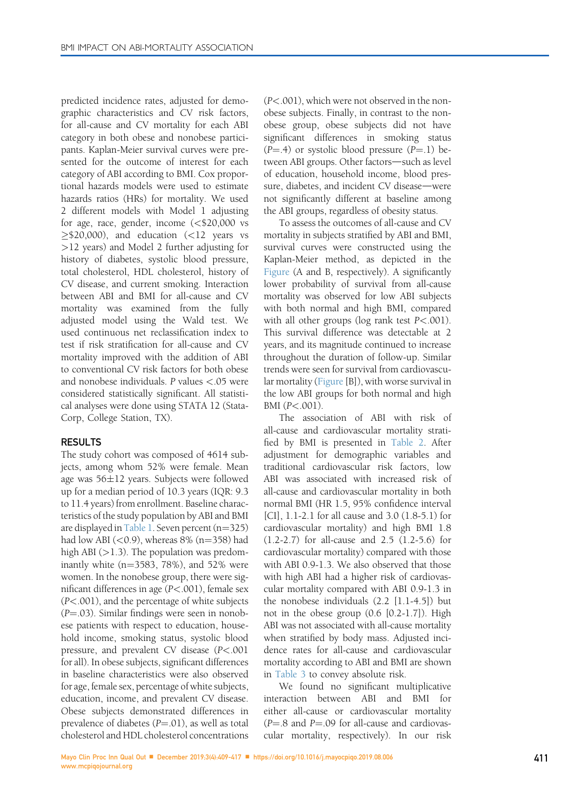predicted incidence rates, adjusted for demographic characteristics and CV risk factors, for all-cause and CV mortality for each ABI category in both obese and nonobese participants. Kaplan-Meier survival curves were presented for the outcome of interest for each category of ABI according to BMI. Cox proportional hazards models were used to estimate hazards ratios (HRs) for mortality. We used 2 different models with Model 1 adjusting for age, race, gender, income (<\$20,000 vs  $\geq$ \$20,000), and education (<12 years vs >12 years) and Model 2 further adjusting for history of diabetes, systolic blood pressure, total cholesterol, HDL cholesterol, history of CV disease, and current smoking. Interaction between ABI and BMI for all-cause and CV mortality was examined from the fully adjusted model using the Wald test. We used continuous net reclassification index to test if risk stratification for all-cause and CV mortality improved with the addition of ABI to conventional CV risk factors for both obese and nonobese individuals. P values <.05 were considered statistically significant. All statistical analyses were done using STATA 12 (Stata-Corp, College Station, TX).

#### RESULTS

The study cohort was composed of 4614 subjects, among whom 52% were female. Mean age was  $56\pm12$  years. Subjects were followed up for a median period of 10.3 years (IQR: 9.3 to 11.4 years) from enrollment. Baseline characteristics of the study population by ABI and BMI are displayed in [Table 1](#page-3-0). Seven percent  $(n=325)$ had low ABI  $(<$  0.9), whereas 8% (n=358) had high ABI  $(>1.3)$ . The population was predominantly white  $(n=3583, 78%)$ , and 52% were women. In the nonobese group, there were significant differences in age  $(P < 001)$ , female sex (P<.001), and the percentage of white subjects  $(P=.03)$ . Similar findings were seen in nonobese patients with respect to education, household income, smoking status, systolic blood pressure, and prevalent CV disease (P<.001 for all). In obese subjects, significant differences in baseline characteristics were also observed for age, female sex, percentage of white subjects, education, income, and prevalent CV disease. Obese subjects demonstrated differences in prevalence of diabetes  $(P=.01)$ , as well as total cholesterol and HDL cholesterol concentrations

(P<.001), which were not observed in the nonobese subjects. Finally, in contrast to the nonobese group, obese subjects did not have significant differences in smoking status  $(P = .4)$  or systolic blood pressure  $(P = .1)$  between ABI groups. Other factors-such as level of education, household income, blood pressure, diabetes, and incident CV disease—were not significantly different at baseline among the ABI groups, regardless of obesity status.

To assess the outcomes of all-cause and CV mortality in subjects stratified by ABI and BMI, survival curves were constructed using the Kaplan-Meier method, as depicted in the [Figure](#page-4-0) (A and B, respectively). A significantly lower probability of survival from all-cause mortality was observed for low ABI subjects with both normal and high BMI, compared with all other groups (log rank test  $P < .001$ ). This survival difference was detectable at 2 years, and its magnitude continued to increase throughout the duration of follow-up. Similar trends were seen for survival from cardiovascular mortality [\(Figure](#page-4-0) [B]), with worse survival in the low ABI groups for both normal and high  $BMI (P < 0.01)$ .

The association of ABI with risk of all-cause and cardiovascular mortality stratified by BMI is presented in [Table 2](#page-5-0). After adjustment for demographic variables and traditional cardiovascular risk factors, low ABI was associated with increased risk of all-cause and cardiovascular mortality in both normal BMI (HR 1.5, 95% confidence interval [CI], 1.1-2.1 for all cause and 3.0 (1.8-5.1) for cardiovascular mortality) and high BMI 1.8 (1.2-2.7) for all-cause and 2.5 (1.2-5.6) for cardiovascular mortality) compared with those with ABI 0.9-1.3. We also observed that those with high ABI had a higher risk of cardiovascular mortality compared with ABI 0.9-1.3 in the nonobese individuals (2.2 [1.1-4.5]) but not in the obese group (0.6 [0.2-1.7]). High ABI was not associated with all-cause mortality when stratified by body mass. Adjusted incidence rates for all-cause and cardiovascular mortality according to ABI and BMI are shown in [Table 3](#page-5-0) to convey absolute risk.

We found no significant multiplicative interaction between ABI and BMI for either all-cause or cardiovascular mortality  $(P=.8$  and  $P=.09$  for all-cause and cardiovascular mortality, respectively). In our risk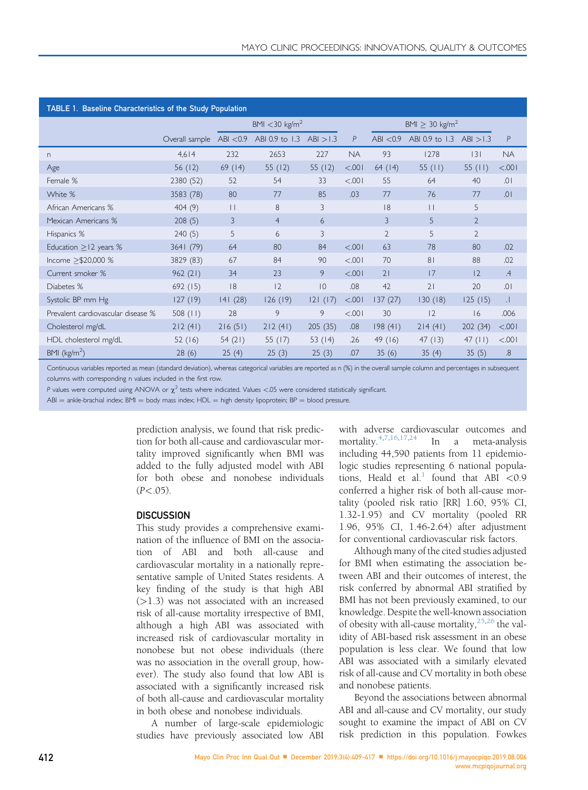<span id="page-3-0"></span>

| TABLE 1. Baseline Characteristics of the Study Population |                |                              |                |             |           |                          |                |                |               |
|-----------------------------------------------------------|----------------|------------------------------|----------------|-------------|-----------|--------------------------|----------------|----------------|---------------|
|                                                           |                | BMI $<$ 30 kg/m <sup>2</sup> |                |             |           | $BM > 30 \text{ kg/m}^2$ |                |                |               |
|                                                           | Overall sample | ABI < 0.9                    | ABI 0.9 to 1.3 | ABI > 1.3   | P         | ABI < 0.9                | ABI 0.9 to 1.3 | ABI > 1.3      | P             |
| n                                                         | 4,614          | 232                          | 2653           | 227         | <b>NA</b> | 93                       | 1278           | 3              | <b>NA</b>     |
| Age                                                       | 56(12)         | 69(14)                       | 55(12)         | 55(12)      | < 0.001   | 64(14)                   | 55 $(11)$      | 55 $(11)$      | < 0.001       |
| Female %                                                  | 2380 (52)      | 52                           | 54             | 33          | < 0.001   | 55                       | 64             | 40             | .01           |
| White %                                                   | 3583 (78)      | 80                           | 77             | 85          | .03       | 77                       | 76             | 77             | .01           |
| African Americans %                                       | 404 (9)        | $\vert \vert$                | 8              | 3           |           | 8                        | $\vert \vert$  | 5              |               |
| Mexican Americans %                                       | 208(5)         | 3                            | $\overline{4}$ | 6           |           | 3                        | 5              | $\overline{2}$ |               |
| Hispanics %                                               | 240(5)         | 5                            | 6              | 3           |           | $\mathfrak{D}$           | 5              | $\overline{2}$ |               |
| Education $>12$ years %                                   | 3641 (79)      | 64                           | 80             | 84          | < 0.001   | 63                       | 78             | 80             | .02           |
| Income > \$20,000 %                                       | 3829 (83)      | 67                           | 84             | 90          | < 0.001   | 70                       | 8 <sub>1</sub> | 88             | .02           |
| Current smoker %                                          | 962(21)        | 34                           | 23             | 9           | < 0.001   | 21                       | 17             | 12             | $\mathcal{A}$ |
| Diabetes %                                                | 692 (15)       | 8                            | 2              | $ 0\rangle$ | .08       | 42                       | 21             | 20             | .01           |
| Systolic BP mm Hg                                         | 127(19)        | 141(28)                      | 126(19)        | 121(17)     | < 0.001   | 137(27)                  | 130(18)        | 125(15)        | П,            |
| Prevalent cardiovascular disease %                        | 508 $(11)$     | 28                           | 9              | 9           | < 0.001   | 30                       | 2              | 16             | .006          |
| Cholesterol mg/dL                                         | 212(41)        | 216(51)                      | 212(41)        | 205(35)     | .08       | 198(41)                  | 214(41)        | 202(34)        | < 0.001       |
| HDL cholesterol mg/dL                                     | 52(16)         | 54(21)                       | 55 (17)        | 53 $(14)$   | .26       | 49 (16)                  | 47(13)         | 47 $(11)$      | < 0.001       |
| BMI $(kg/m2)$                                             | 28(6)          | 25(4)                        | 25(3)          | 25(3)       | .07       | 35(6)                    | 35(4)          | 35(5)          | 8.            |

Continuous variables reported as mean (standard deviation), whereas categorical variables are reported as n (%) in the overall sample column and percentages in subsequent columns with corresponding n values included in the first row.

P values were computed using ANOVA or  $\chi^2$  tests where indicated. Values <.05 were considered statistically significant.

 $ABI =$  ankle-brachial index; BMI = body mass index; HDL = high density lipoprotein; BP = blood pressure.

prediction analysis, we found that risk prediction for both all-cause and cardiovascular mortality improved significantly when BMI was added to the fully adjusted model with ABI for both obese and nonobese individuals  $(P < 05)$ .

## **DISCUSSION**

This study provides a comprehensive examination of the influence of BMI on the association of ABI and both all-cause and cardiovascular mortality in a nationally representative sample of United States residents. A key finding of the study is that high ABI  $(>1.3)$  was not associated with an increased risk of all-cause mortality irrespective of BMI, although a high ABI was associated with increased risk of cardiovascular mortality in nonobese but not obese individuals (there was no association in the overall group, however). The study also found that low ABI is associated with a significantly increased risk of both all-cause and cardiovascular mortality in both obese and nonobese individuals.

A number of large-scale epidemiologic studies have previously associated low ABI with adverse cardiovascular outcomes and<br>mortality.<sup>4,7,16,17,24</sup> In a meta-analysis In a meta-analysis including 44,590 patients from 11 epidemiologic studies representing 6 national popula-tions, Heald et al.<sup>[1](#page-7-0)</sup> found that ABI <0.9 conferred a higher risk of both all-cause mortality (pooled risk ratio [RR] 1.60, 95% CI, 1.32-1.95) and CV mortality (pooled RR 1.96, 95% CI, 1.46-2.64) after adjustment for conventional cardiovascular risk factors.

Although many of the cited studies adjusted for BMI when estimating the association between ABI and their outcomes of interest, the risk conferred by abnormal ABI stratified by BMI has not been previously examined, to our knowledge. Despite the well-known association of obesity with all-cause mortality, $25,26$  $25,26$  $25,26$  the validity of ABI-based risk assessment in an obese population is less clear. We found that low ABI was associated with a similarly elevated risk of all-cause and CV mortality in both obese and nonobese patients.

Beyond the associations between abnormal ABI and all-cause and CV mortality, our study sought to examine the impact of ABI on CV risk prediction in this population. Fowkes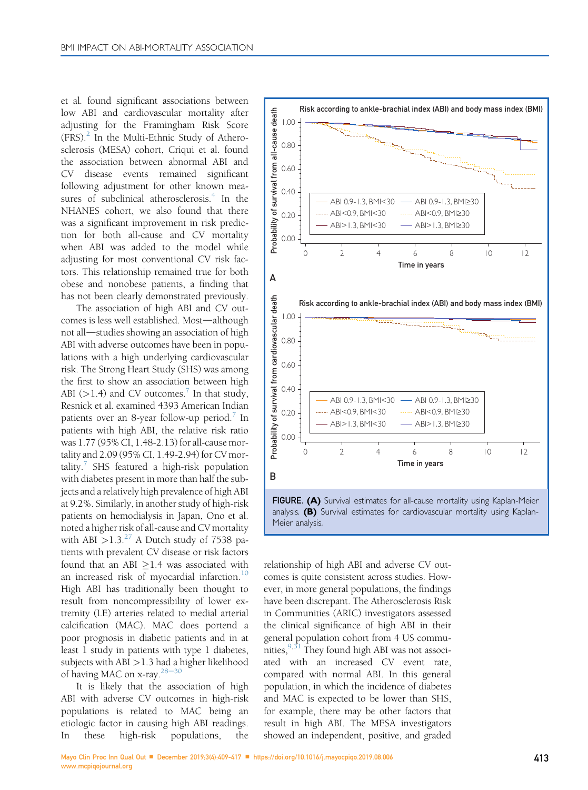<span id="page-4-0"></span>et al. found significant associations between low ABI and cardiovascular mortality after adjusting for the Framingham Risk Score  $(FRS).$ <sup>[2](#page-7-0)</sup> In the Multi-Ethnic Study of Atherosclerosis (MESA) cohort, Criqui et al. found the association between abnormal ABI and CV disease events remained significant following adjustment for other known mea-sures of subclinical atherosclerosis.<sup>[4](#page-7-0)</sup> In the NHANES cohort, we also found that there was a significant improvement in risk prediction for both all-cause and CV mortality when ABI was added to the model while adjusting for most conventional CV risk factors. This relationship remained true for both obese and nonobese patients, a finding that has not been clearly demonstrated previously.

The association of high ABI and CV outcomes is less well established. Most-although not all-studies showing an association of high ABI with adverse outcomes have been in populations with a high underlying cardiovascular risk. The Strong Heart Study (SHS) was among the first to show an association between high ABI ( $>1.4$ ) and CV outcomes.<sup>[7](#page-7-0)</sup> In that study, Resnick et al. examined 4393 American Indian patients over an 8-year follow-up period.<sup>[7](#page-7-0)</sup> In patients with high ABI, the relative risk ratio was 1.77 (95% CI, 1.48-2.13) for all-cause mortality and 2.09 (95% CI, 1.49-2.94) for CV mortality. $7$  SHS featured a high-risk population with diabetes present in more than half the subjects and a relatively high prevalence of high ABI at 9.2%. Similarly, in another study of high-risk patients on hemodialysis in Japan, Ono et al. noted a higher risk of all-cause and CV mortality with ABI  $>1.3.^{27}$  $>1.3.^{27}$  $>1.3.^{27}$  A Dutch study of 7538 patients with prevalent CV disease or risk factors found that an ABI  $\geq$ 1.4 was associated with an increased risk of myocardial infarction. $10$ High ABI has traditionally been thought to result from noncompressibility of lower extremity (LE) arteries related to medial arterial calcification (MAC). MAC does portend a poor prognosis in diabetic patients and in at least 1 study in patients with type 1 diabetes, subjects with ABI >1.3 had a higher likelihood of having MAC on x-ray. $28-30$  $28-30$  $28-30$ 

It is likely that the association of high ABI with adverse CV outcomes in high-risk populations is related to MAC being an etiologic factor in causing high ABI readings. In these high-risk populations, the



Meier analysis.

relationship of high ABI and adverse CV outcomes is quite consistent across studies. However, in more general populations, the findings have been discrepant. The Atherosclerosis Risk in Communities (ARIC) investigators assessed the clinical significance of high ABI in their general population cohort from 4 US communities,  $9,31$  They found high ABI was not associated with an increased CV event rate, compared with normal ABI. In this general population, in which the incidence of diabetes and MAC is expected to be lower than SHS, for example, there may be other factors that result in high ABI. The MESA investigators showed an independent, positive, and graded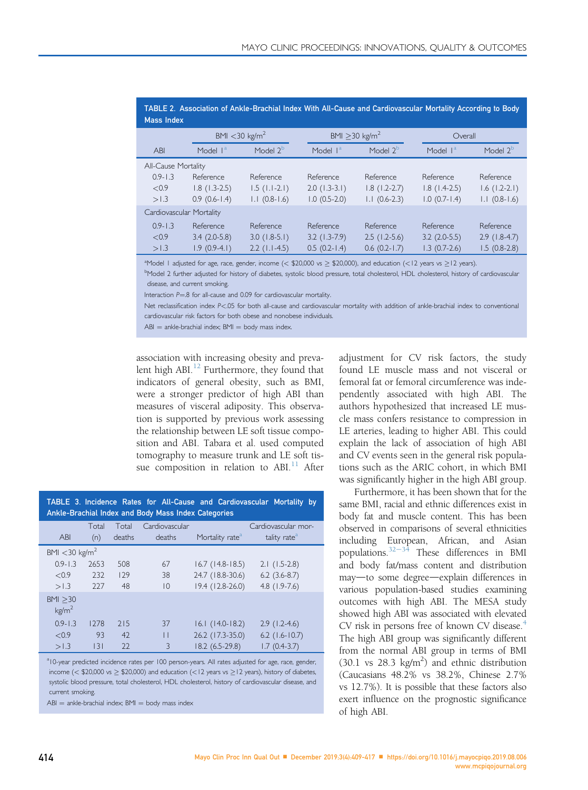<span id="page-5-0"></span>

| TAPLE 2. ASSOCIATOR OF ARRAY DIGGING IRGS THEFTIG CASSOCIATE CONTROVISIONIS PROTOTIONS ACCORDING TO DOG<br><b>Mass Index</b> |                 |                              |                      |                              |                      |                 |  |
|------------------------------------------------------------------------------------------------------------------------------|-----------------|------------------------------|----------------------|------------------------------|----------------------|-----------------|--|
|                                                                                                                              |                 | BMI $<$ 30 kg/m <sup>2</sup> |                      | $BMI > 30$ kg/m <sup>2</sup> | Overall              |                 |  |
| ABI                                                                                                                          | Model $I^a$     | Model $2b$                   | Model l <sup>a</sup> | Model $2^b$                  | Model l <sup>a</sup> | Model $2^b$     |  |
| All-Cause Mortality                                                                                                          |                 |                              |                      |                              |                      |                 |  |
| $0.9 - 1.3$                                                                                                                  | Reference       | Reference                    | Reference            | Reference                    | Reference            | Reference       |  |
| < 0.9                                                                                                                        | $1.8$ (1.3-2.5) | $1.5$ (1.1-2.1)              | $2.0$ (1.3-3.1)      | $1.8$ (1.2-2.7)              | $1.8$ (1.4-2.5)      | $1.6(1.2-2.1)$  |  |
| >1.3                                                                                                                         | $0.9(0.6-1.4)$  | $1.1$ (0.8-1.6)              | $1.0 (0.5 - 2.0)$    | $1.1 (0.6-2.3)$              | $1.0$ (0.7-1.4)      | $1.1$ (0.8-1.6) |  |
| Cardiovascular Mortality                                                                                                     |                 |                              |                      |                              |                      |                 |  |
| $0.9 - 1.3$                                                                                                                  | Reference       | Reference                    | Reference            | Reference                    | Reference            | Reference       |  |
| <0.9                                                                                                                         | $3.4(2.0-5.8)$  | $3.0$ (1.8-5.1)              | $3.2$ (1.3-7.9)      | $2.5$ (1.2-5.6)              | $3.2$ (2.0-5.5)      | $2.9$ (1.8-4.7) |  |
| >1.3                                                                                                                         | $1.9(0.9-4.1)$  | $2.2$ (1.1-4.5)              | $0.5(0.2-1.4)$       | $0.6$ $(0.2 - 1.7)$          | $1.3(0.7-2.6)$       | $1.5(0.8-2.8)$  |  |
|                                                                                                                              |                 |                              |                      |                              |                      |                 |  |

TABLE 2. Association of Ankle-Brachial Index With All-Cause and Cardiovascular Mortality According to Body

 $^{\circ}$ Model I adjusted for age, race, gender, income (< \$20,000 vs  $\geq$  \$20,000), and education (<12 years vs  $\geq$ 12 years).<br><sup>b</sup>Model 2 further adjusted for bistory of dishertes extellic blood pressure total cholesterol

<sup>b</sup>Model 2 further adjusted for history of diabetes, systolic blood pressure, total cholesterol, HDL cholesterol, history of cardiovascular disease, and current smoking.

Interaction  $P=0.8$  for all-cause and 0.09 for cardiovascular mortality.

Net reclassification index P<.05 for both all-cause and cardiovascular mortality with addition of ankle-brachial index to conventional cardiovascular risk factors for both obese and nonobese individuals.

 $ABI =$  ankle-brachial index;  $BMI =$  body mass index.

association with increasing obesity and prevalent high ABI. $^{12}$  $^{12}$  $^{12}$  Furthermore, they found that indicators of general obesity, such as BMI, were a stronger predictor of high ABI than measures of visceral adiposity. This observation is supported by previous work assessing the relationship between LE soft tissue composition and ABI. Tabara et al. used computed tomography to measure trunk and LE soft tissue composition in relation to  $ABI$ .<sup>11</sup> After

| There's for the sease and saratorescale more any by<br>Ankle-Brachial Index and Body Mass Index Categories |       |        |                |                             |                          |  |
|------------------------------------------------------------------------------------------------------------|-------|--------|----------------|-----------------------------|--------------------------|--|
|                                                                                                            | Total | Total  | Cardiovascular |                             | Cardiovascular mor-      |  |
| ABI                                                                                                        | (n)   | deaths | deaths         | Mortality rate <sup>a</sup> | tality rate <sup>a</sup> |  |
| BMI $<$ 30 kg/m <sup>2</sup>                                                                               |       |        |                |                             |                          |  |
| $0.9 - 1.3$                                                                                                | 2653  | 508    | 67             | $16.7$ (14.8-18.5)          | $2.1$ (1.5-2.8)          |  |
| < 0.9                                                                                                      | 232   | 129    | 38             | 24.7 (18.8-30.6)            | $6.2$ $(3.6-8.7)$        |  |
| >1.3                                                                                                       | 227   | 48     | 10             | 19.4 (12.8-26.0)            | $4.8$ (1.9-7.6)          |  |
| BMI > 30<br>kg/m <sup>2</sup>                                                                              |       |        |                |                             |                          |  |
| $0.9 - 1.3$                                                                                                | 1278  | 215    | 37             | $16.1$ (14.0-18.2)          | $2.9$ (1.2-4.6)          |  |
| <0.9                                                                                                       | 93    | 42     | Ш              | 26.2 (17.3-35.0)            | $6.2$ (1.6-10.7)         |  |
| >1.3                                                                                                       | 3     | 22     | 3              | 18.2 (6.5-29.8)             | $1.7(0.4-3.7)$           |  |

a<br>10-year predicted incidence rates per 100 person-years. All rates adjusted for age, race, gender, income ( $\lt$  \$20,000 vs  $\ge$  \$20,000) and education ( $\lt$ 12 years vs  $\ge$ 12 years), history of diabetes, systolic blood pressure, total cholesterol, HDL cholesterol, history of cardiovascular disease, and current smoking.

 $ABI =$  ankle-brachial index;  $BMI =$  body mass index

TABLE 3. Incidence Rates for All-Cause and

adjustment for CV risk factors, the study found LE muscle mass and not visceral or femoral fat or femoral circumference was independently associated with high ABI. The authors hypothesized that increased LE muscle mass confers resistance to compression in LE arteries, leading to higher ABI. This could explain the lack of association of high ABI and CV events seen in the general risk populations such as the ARIC cohort, in which BMI was significantly higher in the high ABI group.

Furthermore, it has been shown that for the same BMI, racial and ethnic differences exist in body fat and muscle content. This has been observed in comparisons of several ethnicities including European, African, and Asian populations. $32-34$  $32-34$  $32-34$  These differences in BMI and body fat/mass content and distribution may-to some degree-explain differences in various population-based studies examining outcomes with high ABI. The MESA study showed high ABI was associated with elevated CV risk in persons free of known CV disease.<sup>4</sup> The high ABI group was significantly different from the normal ABI group in terms of BMI  $(30.1 \text{ vs } 28.3 \text{ kg/m}^2)$  and ethnic distribution (Caucasians 48.2% vs 38.2%, Chinese 2.7% vs 12.7%). It is possible that these factors also exert influence on the prognostic significance of high ABI.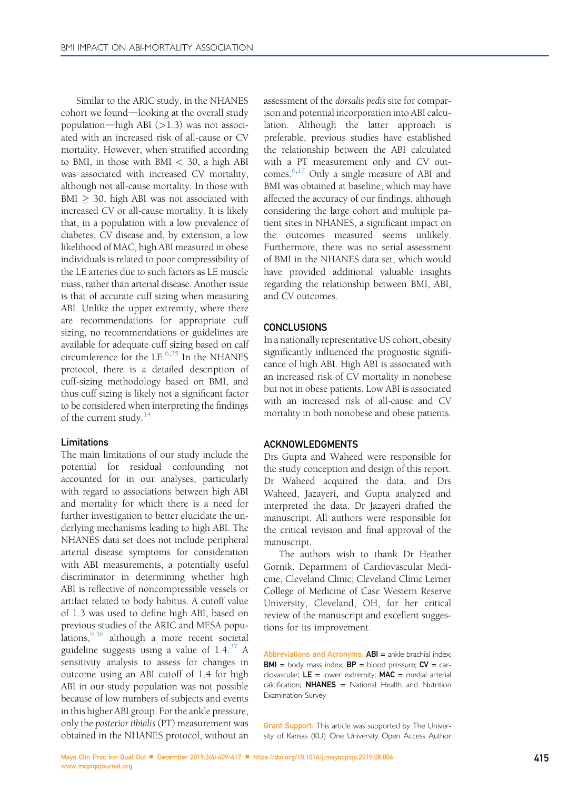Similar to the ARIC study, in the NHANES cohort we found—looking at the overall study population-high ABI  $(>1.3)$  was not associated with an increased risk of all-cause or CV mortality. However, when stratified according to BMI, in those with  $BMI < 30$ , a high ABI was associated with increased CV mortality, although not all-cause mortality. In those with  $BMI \geq 30$ , high ABI was not associated with increased CV or all-cause mortality. It is likely that, in a population with a low prevalence of diabetes, CV disease and, by extension, a low likelihood of MAC, high ABI measured in obese individuals is related to poor compressibility of the LE arteries due to such factors as LE muscle mass, rather than arterial disease. Another issue is that of accurate cuff sizing when measuring ABI. Unlike the upper extremity, where there are recommendations for appropriate cuff sizing, no recommendations or guidelines are available for adequate cuff sizing based on calf circumference for the LE.[6](#page-7-0)[,35](#page-8-0) In the NHANES protocol, there is a detailed description of cuff-sizing methodology based on BMI, and thus cuff sizing is likely not a significant factor to be considered when interpreting the findings of the current study. $14$ 

#### **Limitations**

The main limitations of our study include the potential for residual confounding not accounted for in our analyses, particularly with regard to associations between high ABI and mortality for which there is a need for further investigation to better elucidate the underlying mechanisms leading to high ABI. The NHANES data set does not include peripheral arterial disease symptoms for consideration with ABI measurements, a potentially useful discriminator in determining whether high ABI is reflective of noncompressible vessels or artifact related to body habitus. A cutoff value of 1.3 was used to define high ABI, based on previous studies of the ARIC and MESA populations,  $9,36$  $9,36$  $9,36$  although a more recent societal guideline suggests using a value of  $1.4^{37}$  $1.4^{37}$  $1.4^{37}$  A sensitivity analysis to assess for changes in outcome using an ABI cutoff of 1.4 for high ABI in our study population was not possible because of low numbers of subjects and events in this higher ABI group. For the ankle pressure, only the posterior tibialis (PT) measurement was obtained in the NHANES protocol, without an

assessment of the dorsalis pedis site for comparison and potential incorporation into ABI calculation. Although the latter approach is preferable, previous studies have established the relationship between the ABI calculated with a PT measurement only and CV outcomes.[6,17](#page-7-0) Only a single measure of ABI and BMI was obtained at baseline, which may have affected the accuracy of our findings, although considering the large cohort and multiple patient sites in NHANES, a significant impact on the outcomes measured seems unlikely. Furthermore, there was no serial assessment of BMI in the NHANES data set, which would have provided additional valuable insights regarding the relationship between BMI, ABI, and CV outcomes.

## CONCLUSIONS

In a nationally representative US cohort, obesity significantly influenced the prognostic significance of high ABI. High ABI is associated with an increased risk of CV mortality in nonobese but not in obese patients. Low ABI is associated with an increased risk of all-cause and CV mortality in both nonobese and obese patients.

#### ACKNOWLEDGMENTS

Drs Gupta and Waheed were responsible for the study conception and design of this report. Dr Waheed acquired the data, and Drs Waheed, Jazayeri, and Gupta analyzed and interpreted the data. Dr Jazayeri drafted the manuscript. All authors were responsible for the critical revision and final approval of the manuscript.

The authors wish to thank Dr Heather Gornik, Department of Cardiovascular Medicine, Cleveland Clinic; Cleveland Clinic Lerner College of Medicine of Case Western Reserve University, Cleveland, OH, for her critical review of the manuscript and excellent suggestions for its improvement.

Abbreviations and Acronyms:  $ABI =$  ankle-brachial index;  $BMI = body$  mass index;  $BP = blood$  pressure;  $CV = car$ diovascular:  $LE =$  lower extremity:  $MAC =$  medial arterial calcification;  $NHANES$  = National Health and Nutrition Examination Survey

Grant Support: This article was supported by The University of Kansas (KU) One University Open Access Author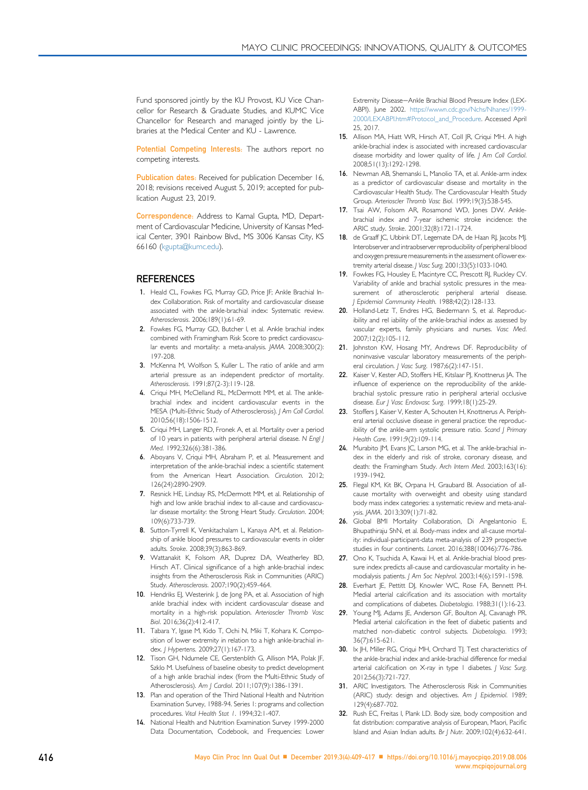<span id="page-7-0"></span>Fund sponsored jointly by the KU Provost, KU Vice Chancellor for Research & Graduate Studies, and KUMC Vice Chancellor for Research and managed jointly by the Libraries at the Medical Center and KU - Lawrence.

Potential Competing Interests: The authors report no competing interests.

Publication dates: Received for publication December 16, 2018; revisions received August 5, 2019; accepted for publication August 23, 2019.

Correspondence: Address to Kamal Gupta, MD, Department of Cardiovascular Medicine, University of Kansas Medical Center, 3901 Rainbow Blvd., MS 3006 Kansas City, KS 66160 ([kgupta@kumc.edu\)](mailto:kgupta@kumc.edu).

#### **REFERENCES**

- 1. Heald CL, Fowkes FG, Murray GD, Price JF; Ankle Brachial Index Collaboration. Risk of mortality and cardiovascular disease associated with the ankle-brachial index: Systematic review. Atherosclerosis. 2006;189(1):61-69.
- 2. Fowkes FG, Murray GD, Butcher I, et al. Ankle brachial index combined with Framingham Risk Score to predict cardiovascular events and mortality: a meta-analysis. JAMA. 2008;300(2): 197-208.
- 3. McKenna M, Wolfson S, Kuller L. The ratio of ankle and arm arterial pressure as an independent predictor of mortality. Atherosclerosis. 1991;87(2-3):119-128.
- 4. Criqui MH, McClelland RL, McDermott MM, et al. The anklebrachial index and incident cardiovascular events in the MESA (Multi-Ethnic Study of Atherosclerosis). J Am Coll Cardiol. 2010;56(18):1506-1512.
- 5. Criqui MH, Langer RD, Fronek A, et al. Mortality over a period of 10 years in patients with peripheral arterial disease. N Engl J Med. 1992;326(6):381-386.
- 6. Aboyans V, Criqui MH, Abraham P, et al. Measurement and interpretation of the ankle-brachial index: a scientific statement from the American Heart Association. Circulation. 2012; 126(24):2890-2909.
- 7. Resnick HE, Lindsay RS, McDermott MM, et al. Relationship of high and low ankle brachial index to all-cause and cardiovascular disease mortality: the Strong Heart Study. Circulation. 2004; 109(6):733-739.
- 8. Sutton-Tyrrell K, Venkitachalam L, Kanaya AM, et al. Relationship of ankle blood pressures to cardiovascular events in older adults. Stroke. 2008;39(3):863-869.
- 9. Wattanakit K, Folsom AR, Duprez DA, Weatherley BD, Hirsch AT. Clinical significance of a high ankle-brachial index: insights from the Atherosclerosis Risk in Communities (ARIC) Study. Atherosclerosis. 2007;190(2):459-464.
- 10. Hendriks EJ, Westerink J, de Jong PA, et al. Association of high ankle brachial index with incident cardiovascular disease and mortality in a high-risk population. Arterioscler Thromb Vasc Biol. 2016;36(2):412-417.
- 11. Tabara Y, Igase M, Kido T, Ochi N, Miki T, Kohara K. Composition of lower extremity in relation to a high ankle-brachial index. J Hypertens. 2009;27(1):167-173.
- 12. Tison GH, Ndumele CE, Gerstenblith G, Allison MA, Polak JF, Szklo M. Usefulness of baseline obesity to predict development of a high ankle brachial index (from the Multi-Ethnic Study of Atherosclerosis). Am J Cardiol. 2011;107(9):1386-1391.
- 13. Plan and operation of the Third National Health and Nutrition Examination Survey, 1988-94. Series 1: programs and collection procedures. Vital Health Stat 1. 1994;32:1-407.
- 14. National Health and Nutrition Examination Survey 1999-2000 Data Documentation, Codebook, and Frequencies: Lower

Extremity Disease-Ankle Brachial Blood Pressure Index (LEXABPI). June 2002. [https://wwwn.cdc.gov/Nchs/Nhanes/1999-](https://wwwn.cdc.gov/Nchs/Nhanes/1999-2000/LEXABPI.htm#Protocol_and_Procedure) [2000/LEXABPI.htm#Protocol\\_and\\_Procedure.](https://wwwn.cdc.gov/Nchs/Nhanes/1999-2000/LEXABPI.htm#Protocol_and_Procedure) Accessed April 25, 2017.

- 15. Allison MA, Hiatt WR, Hirsch AT, Coll JR, Criqui MH. A high ankle-brachial index is associated with increased cardiovascular disease morbidity and lower quality of life. J Am Coll Cardiol. 2008;51(13):1292-1298.
- 16. Newman AB, Shemanski L, Manolio TA, et al. Ankle-arm index as a predictor of cardiovascular disease and mortality in the Cardiovascular Health Study. The Cardiovascular Health Study Group. Arterioscler Thromb Vasc Biol. 1999;19(3):538-545.
- 17. Tsai AW, Folsom AR, Rosamond WD, Jones DW. Anklebrachial index and 7-year ischemic stroke incidence: the ARIC study. Stroke. 2001;32(8):1721-1724.
- 18. de Graaff JC, Ubbink DT, Legemate DA, de Haan RJ, Jacobs MJ. Interobserver and intraobserver reproducibility of peripheral blood and oxygen pressure measurements in the assessment of lower extremity arterial disease. J Vasc Surg. 2001;33(5):1033-1040.
- 19. Fowkes FG, Housley E, Macintyre CC, Prescott RJ, Ruckley CV. Variability of ankle and brachial systolic pressures in the measurement of atherosclerotic peripheral arterial disease. J Epidemiol Community Health. 1988;42(2):128-133.
- 20. Holland-Letz T, Endres HG, Biedermann S, et al. Reproducibility and rel iability of the ankle-brachial index as assessed by vascular experts, family physicians and nurses. Vasc Med. 2007;12(2):105-112.
- 21. Johnston KW, Hosang MY, Andrews DF. Reproducibility of noninvasive vascular laboratory measurements of the peripheral circulation. J Vasc Surg. 1987;6(2):147-151.
- 22. Kaiser V, Kester AD, Stoffers HE, Kitslaar PI, Knottnerus IA, The influence of experience on the reproducibility of the anklebrachial systolic pressure ratio in peripheral arterial occlusive disease. Eur J Vasc Endovasc Surg. 1999;18(1):25-29.
- 23. Stoffers J, Kaiser V, Kester A, Schouten H, Knottnerus A. Peripheral arterial occlusive disease in general practice: the reproducibility of the ankle-arm systolic pressure ratio. Scand | Primary Health Care. 1991;9(2):109-114.
- 24. Murabito JM, Evans JC, Larson MG, et al. The ankle-brachial index in the elderly and risk of stroke, coronary disease, and death: the Framingham Study. Arch Intern Med. 2003;163(16): 1939-1942.
- 25. Flegal KM, Kit BK, Orpana H, Graubard BI. Association of allcause mortality with overweight and obesity using standard body mass index categories: a systematic review and meta-analysis. JAMA. 2013;309(1):71-82.
- 26. Global BMI Mortality Collaboration, Di Angelantonio E, Bhupathiraju ShN, et al. Body-mass index and all-cause mortality: individual-participant-data meta-analysis of 239 prospective studies in four continents. Lancet. 2016;388(10046):776-786.
- 27. Ono K, Tsuchida A, Kawai H, et al. Ankle-brachial blood pressure index predicts all-cause and cardiovascular mortality in hemodialysis patients. J Am Soc Nephrol. 2003;14(6):1591-1598.
- 28. Everhart JE, Pettitt DJ, Knowler WC, Rose FA, Bennett PH. Medial arterial calcification and its association with mortality and complications of diabetes. Diabetologia. 1988;31(1):16-23.
- 29. Young MJ, Adams JE, Anderson GF, Boulton AJ, Cavanagh PR. Medial arterial calcification in the feet of diabetic patients and matched non-diabetic control subjects. Diabetologia. 1993; 36(7):615-621.
- 30. Ix JH, Miller RG, Criqui MH, Orchard TJ. Test characteristics of the ankle-brachial index and ankle-brachial difference for medial arterial calcification on X-ray in type 1 diabetes. J Vasc Surg. 2012;56(3):721-727.
- 31. ARIC Investigators. The Atherosclerosis Risk in Communities (ARIC) study: design and objectives. Am J Epidemiol. 1989; 129(4):687-702.
- 32. Rush EC, Freitas I, Plank LD. Body size, body composition and fat distribution: comparative analysis of European, Maori, Pacific Island and Asian Indian adults. Br J Nutr. 2009;102(4):632-641.